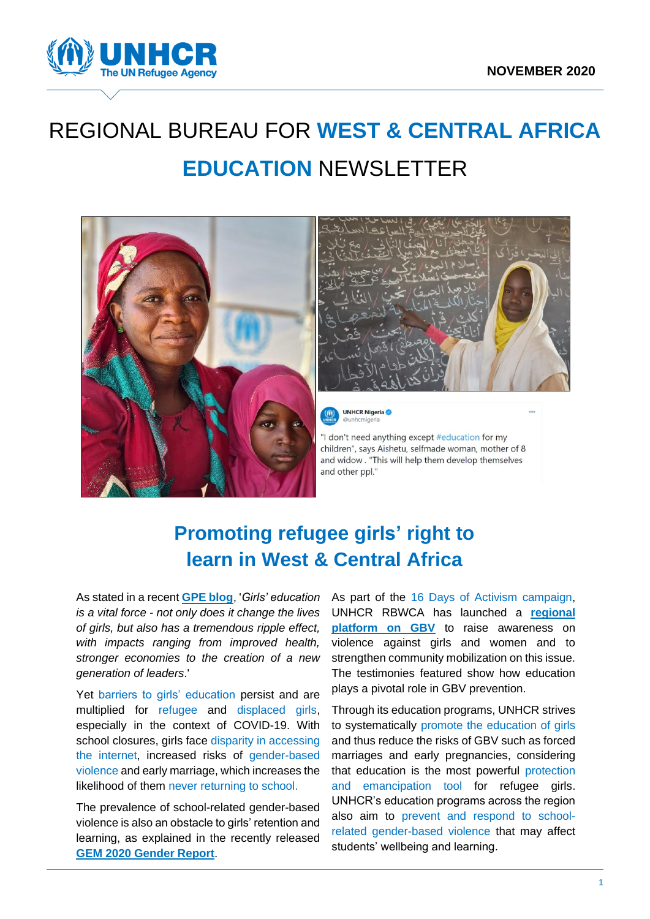

# REGIONAL BUREAU FOR **WEST & CENTRAL AFRICA EDUCATION** NEWSLETTER





**UNHCR Nigeria** 

"I don't need anything except #education for my children", says Aishetu, selfmade woman, mother of 8 and widow . "This will help them develop themselves and other ppl."

# **Promoting refugee girls' right to learn in West & Central Africa**

As stated in a recent **[GPE blog](https://www.globalpartnership.org/blog/businesses-are-critical-partners-advancing-girls-education-here-why)**, '*Girls' education is a vital force - not only does it change the lives of girls, but also has a tremendous ripple effect, with impacts ranging from improved health, stronger economies to the creation of a new generation of leaders*.'

Yet barriers to girls' education persist and are multiplied for refugee and displaced girls, especially in the context of COVID-19. With school closures, girls face disparity in accessing the internet, increased risks of gender-based violence and early marriage, which increases the likelihood of them never returning to school.

The prevalence of school-related gender-based violence is also an obstacle to girls' retention and learning, as explained in the recently released **[GEM 2020 Gender Report](https://unesdoc.unesco.org/ark:/48223/pf0000374514)**.

As part of the 16 Days of Activism campaign, UNHCR RBWCA has launched a **[regional](https://gbv.westafrica.exposed/en/)  platform [on GBV](https://gbv.westafrica.exposed/en/)** to raise awareness on violence against girls and women and to strengthen community mobilization on this issue. The testimonies featured show how education plays a pivotal role in GBV prevention.

Through its education programs, UNHCR strives to systematically promote the education of girls and thus reduce the risks of GBV such as forced marriages and early pregnancies, considering that education is the most powerful protection and emancipation tool for refugee girls. UNHCR's education programs across the region also aim to prevent and respond to schoolrelated gender-based violence that may affect students' wellbeing and learning.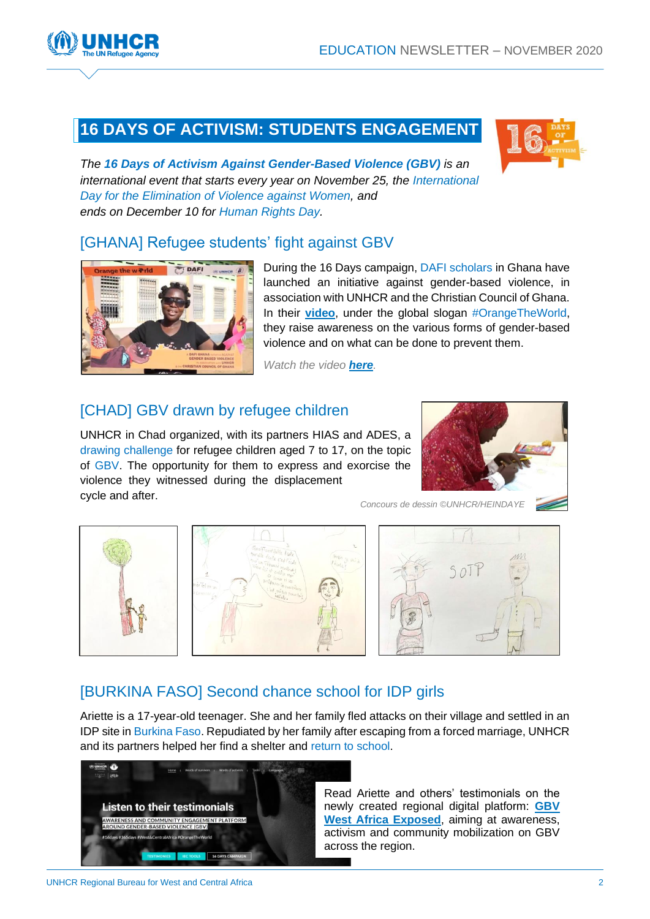### **16 DAYS OF ACTIVISM: STUDENTS ENGAGEMENT**



*The 16 Days of Activism Against Gender-Based Violence (GBV) is an international event that starts every year on November 25, the International [Day for the Elimination of Violence against Women,](https://www.un.org/en/observances/ending-violence-against-women-day) and ends on December 10 for [Human Rights Day.](https://www.un.org/en/observances/human-rights-day)*

### [\[GHANA\] Refugee students'](https://twitter.com/i/status/1336621324572237826) fight against GBV



During the 16 Days campaign, DAFI scholars in Ghana have launched an initiative against gender-based violence, in association with UNHCR and the Christian Council of Ghana. In their **[video](https://twitter.com/i/status/1336621324572237826)**, under the global slogan #OrangeTheWorld, they raise awareness on the various forms of gender-based violence and on what can be done to prevent them.

*Watch the video [here](https://twitter.com/i/status/1336621324572237826).*

### [\[CHAD\] GBV drawn by refugee children](https://twitter.com/Priscilla_G_G/status/1335517431004082176)

UNHCR in Chad organized, with its partners HIAS and ADES, a drawing challenge for refugee children aged 7 to 17, on the topic of GBV. The opportunity for them to express and exorcise the violence they witnessed during the displacement cycle and after.



*Concours de dessin ©UNHCR/HEINDAYE*



### [\[BURKINA FASO\] Second chance school for IDP girls](https://gbv.westafrica.exposed/en/portraits/ariettes-testimony/)

Ariette is a 17-year-old teenager. She and her family fled attacks on their village and settled in an IDP site in Burkina Faso. Repudiated by her family after escaping from a forced marriage, UNHCR and its partners helped her find a shelter and return to school.

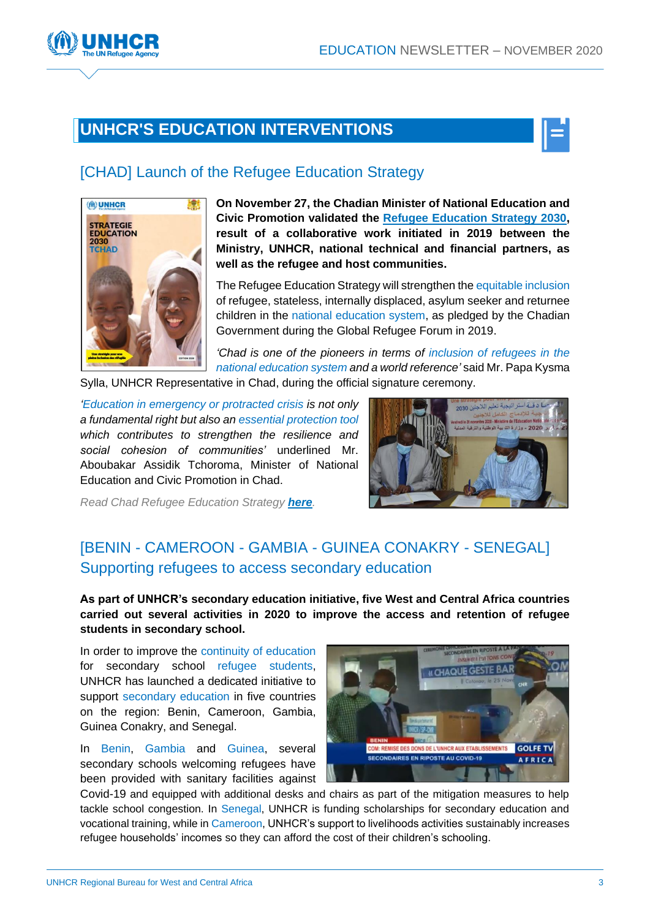



### [\[CHAD\] Launch of the Refugee Education Strategy](https://data2.unhcr.org/en/documents/details/83328)



**On November 27, the Chadian Minister of National Education and Civic Promotion validated the [Refugee Education Strategy 2030,](https://data2.unhcr.org/en/documents/details/83328) result of a collaborative work initiated in 2019 between the Ministry, UNHCR, national technical and financial partners, as well as the refugee and host communities.**

The Refugee Education Strategy will strengthen the equitable inclusion of refugee, stateless, internally displaced, asylum seeker and returnee children in the national education system, as pledged by the Chadian Government during the Global Refugee Forum in 2019.

*'Chad is one of the pioneers in terms of inclusion of refugees in the national education system and a world reference'* said Mr. Papa Kysma

Sylla, UNHCR Representative in Chad, during the official signature ceremony.

*'Education in emergency or protracted crisis is not only a fundamental right but also an essential protection tool which contributes to strengthen the resilience and social cohesion of communities'* underlined Mr. Aboubakar Assidik Tchoroma, Minister of National Education and Civic Promotion in Chad.



*Read Chad Refugee Education Strategy [here](https://data2.unhcr.org/en/documents/details/83328).*

### [BENIN - CAMEROON - GAMBIA - GUINEA CONAKRY - SENEGAL] Supporting refugees to access secondary education

**As part of UNHCR's secondary education initiative, five West and Central Africa countries carried out several activities in 2020 to improve the access and retention of refugee students in secondary school.**

In order to improve the continuity of education for secondary school refugee students, UNHCR has launched a dedicated initiative to support secondary education in five countries on the region: Benin, Cameroon, Gambia, Guinea Conakry, and Senegal.

In Benin, Gambia and Guinea, several secondary schools welcoming refugees have been provided with sanitary facilities against



Covid-19 and equipped with additional desks and chairs as part of the mitigation measures to help tackle school congestion. In Senegal, UNHCR is funding scholarships for secondary education and vocational training, while in Cameroon, UNHCR's support to livelihoods activities sustainably increases refugee households' incomes so they can afford the cost of their children's schooling.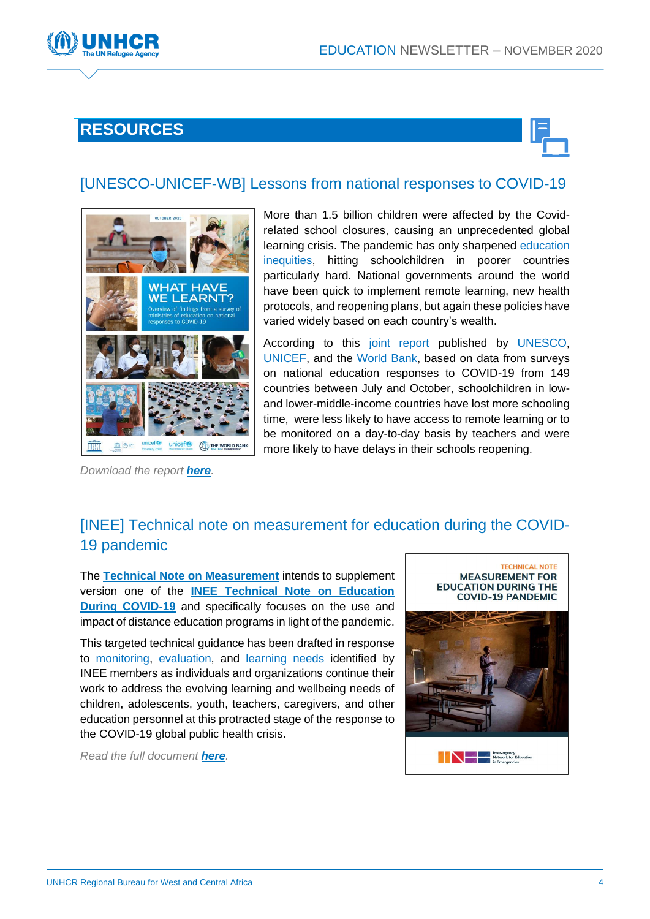

## **RESOURCES**



### [UNESCO[-UNICEF-WB\] Lessons from national responses to COVID-19](https://data.unicef.org/resources/national-education-responses-to-covid19/)



*Download the report [here](https://data.unicef.org/resources/national-education-responses-to-covid19/).*

More than 1.5 billion children were affected by the Covidrelated school closures, causing an unprecedented global learning crisis. The pandemic has only sharpened education inequities, hitting schoolchildren in poorer countries particularly hard. National governments around the world have been quick to implement remote learning, new health protocols, and reopening plans, but again these policies have varied widely based on each country's wealth.

According to this joint report published by UNESCO, UNICEF, and the World Bank, based on data from surveys on national education responses to COVID-19 from 149 countries between July and October, schoolchildren in lowand lower-middle-income countries have lost more schooling time, were less likely to have access to remote learning or to be monitored on a day-to-day basis by teachers and were more likely to have delays in their schools reopening.

### [\[INEE\] Technical note on measurement for education during the COVID-](https://inee.org/resources/inee-technical-note-measurement-education-during-covid-19-pandemic)[19 pandemic](https://inee.org/resources/inee-technical-note-measurement-education-during-covid-19-pandemic)

The **[Technical Note on Measurement](https://inee.org/resources/inee-technical-note-measurement-education-during-covid-19-pandemic)** intends to supplement version one of the **[INEE Technical Note on Education](https://inee.org/resources/inee-technical-note-education-during-covid-19-pandemic)  [During COVID-19](https://inee.org/resources/inee-technical-note-education-during-covid-19-pandemic)** and specifically focuses on the use and impact of distance education programs in light of the pandemic.

This targeted technical guidance has been drafted in response to monitoring, evaluation, and learning needs identified by INEE members as individuals and organizations continue their work to address the evolving learning and wellbeing needs of children, adolescents, youth, teachers, caregivers, and other education personnel at this protracted stage of the response to the COVID-19 global public health crisis.

*Read the full document [here](https://inee.org/resources/inee-technical-note-measurement-education-during-covid-19-pandemic).*